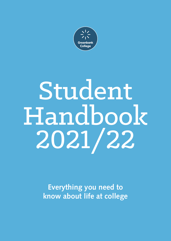

# Student Handbook 2021/22

**Everything you need to know about life at college**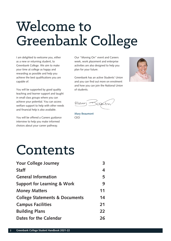## Welcome to Greenbank College

I am delighted to welcome you, either as a new or returning student, to Greenbank College. We aim to make your time at college as happy and rewarding as possible and help you achieve the best qualifications you are capable of.

You will be supported by good quality teaching and learner support and taught in small class groups where you can achieve your potential. You can access welfare support to help with other needs and financial help is also available.

You will be offered a Careers guidance interview to help you make informed choices about your career pathway.

Our "Moving On" event and Careers week, work placement and enterprise activities are also designed to help you plan for your future.

Greenbank has an active Students' Union and you can find out more on enrolment and how you can join the National Union of students.



Maren essabor

**Mary Beaumont** CEO

## Contents

| <b>Your College Journey</b>               |    |
|-------------------------------------------|----|
| <b>Staff</b>                              | 4  |
| <b>General Information</b>                | 5  |
| Support for Learning & Work               | 9  |
| <b>Money Matters</b>                      | 11 |
| <b>College Statements &amp; Documents</b> | 14 |
| <b>Campus Facilities</b>                  | 21 |
| <b>Building Plans</b>                     | 22 |
| Dates for the Calendar                    | 26 |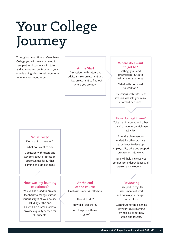## Your College Journey

Throughout your time at Greenbank College you will be encouraged to take part in discussions with tutors and advisors and contribute to your own learning plans to help you to get to where you want to be.

#### **At the Start**

Discussions with tutors and advisors – self assessment and initial assessment to find out where you are now.

#### **Where do I want to get to?**

Setting goals and progression routes to help you on your way.

What skills do I need to work on?

Discussions with tutors and advisors will help you make informed decisions.

#### **How do I get there?**

Take part in classes and other individual learning/enrichment activities.

Attend a placement or undertake other practical experience to develop employability skills and support progression into work.

These will help increase your confidence, independence and personal development.

#### **Reviewing**

Take part in regular assessments of work and discuss your progress with tutors.

Contribute to the planning of your future learning by helping to set new goals and targets.

#### **What next?**

Do I want to move on?

What do I want to do?

Discussion with tutors and advisors about progression opportunities for further learning and employment.

#### **How was my learning experience?**

You will be asked to provide feedback to college staff at various stages of your course, including at the end. This will help Greenbank to provide a quality service for all students.

**At the end of the course** Final assessment & reflection

> How did I do? How did I get there?

> Am I happy with my progress?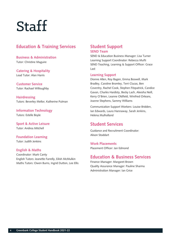## **Staff**

## **Education & Training Services**

**Business & Administration**  Tutor: Christine Maguire

**Catering & Hospitality** Lead Tutor: Alan Harris

**Customer Service** Tutor: Rachael Willoughby

**Hairdressing** Tutors: Beverley Mellor, Katherine Pulman

**Information Technology** Tutors: Estelle Boyle

**Sport & Active Leisure** Tutor: Andrea Mitchell

**Foundation Learning** Tutor: Judith Jenkins

#### **English & Maths**

Coordinator: Mark Canty English Tutors: Jeanette Farrelly, Eilish McMulkin Maths Tutors: Owen Burns, Ingrid Dutton, Lee Ellis

### **Student Support SEND Team**

SEND & Education Business Manager: Lisa Turner Learning Support Coordinator: Rebecca Mufti SEND Teaching, Learning & Support Officer: Grace Last

#### **Learning Support**

Dionne Allen, Roy Bagen, Emma Boswell, Mark Bradley, Caroline Bromley, Terri Clucas, Ben Coventry, Rachel Cook, Stephen Fitzpatrick, Candice Gavan, Charles Hardisty, Becky Lach, Aleesha Neill, Kerry O'Brien, Leanne Oldfield, Winifred Orleans, Joanne Stephens, Sammy Williams

Communication Support Workers: Louise Bridden, Ian Edwards, Laura Hannaway, Sarah Jenkins, Helena Mulholland

## **Student Services**

Guidance and Recruitment Coordinator: Alison Stoddart

**Work Placements**  Placement Officer: Jan Edmond

## **Education & Business Services**

Finance Manager: Margaret Brown Quality Assurance Manager: Pauline Sharma Administration Manager: Ian Grice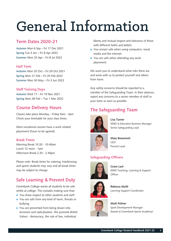## General Information

## **Term Dates 2020-21**

**Autumn** Mon 6 Sep – Fri 17 Dec 2021 **Spring** Tue 4 Jan – Fri 8 Apr 2022 **Summer** Mon 25 Apr – Fri 8 Jul 2022

#### **Half Term**

**Autumn** Mon 25 Oct – Fri 29 Oct 2021 **Spring** Mon 21 Feb – Fri 25 Feb 2022 **Summer** Mon 30 May – Fri 3 Jun 2022

#### **Staff Training Days**

**Autumn** Wed 17 – Fri 19 Nov 2021 **Spring** Mon 28 Feb – Tue 1 Mar 2022

## **Course Delivery Hours**

Classes take place Monday - Friday 9am - 4pm Check your timetable for your class times.

Most vocational courses have a work related placement (hours to be agreed).

#### **Break Times**

Morning Break 10.20 - 10.40am Lunch 12 noon - 1pm Afternoon Break 2.20 - 2.40pm

Please note: Break times for catering, hairdressing and sports students may vary and all break times may be subject to change.

## **Safe Learning & Prevent Duty**

Greenbank College wants all students to be safe whilst at college. This includes making sure that:

- You show respect to other students and staff.
- You are safe from any kind of harm, threats or bullying.
- You are prevented from being drawn into terrorism and radicalisation. We promote British Values - democracy, the rule of law, individual

liberty and mutual respect and tolerance of those with different faiths and beliefs.

- You remain safe when using computers, social media and the internet.
- You are safe when attending any work placement.

We want you to understand what risks there are and work with us to protect yourself and others from harm.

Any safety concerns should be reported to a member of the Safeguarding Team. In their absence, report any concerns to a senior member of staff or your tutor as soon as possible.

## **The Safeguarding Team**



#### **Lisa Turner** SEND & Education Business Manager Senior Safeguarding Lead



**Mary Beaumont**  CEO Prevent Lead

### **Safeguarding Officers**



**Grace Last**  SEND Teaching, Learning & Support **Officer** 



**Rebecca Mufti**  Learning Support Coordinator



**Mark Palmer**  Sport Development Manager (based at Greenbank Sports Academy)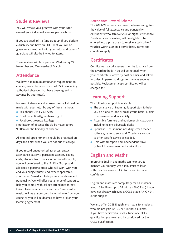## **Student Reviews**

You will review your progress with your tutor against your individual learning plan each term.

If you are aged 16-18 (and up to 24 if you declare a disability and have an EHC Plan) you will be given an appointment with your tutor and parents/ guardians will also be invited to attend.

These reviews will take place on Wednesday 24 November and Wednesday 9 March.

## **Attendance**

We have a minimum attendance requirement on courses, work placements, etc, of 95% (excluding authorised absences that have been agreed in advance by your tutor).

In cases of absence and sickness, contact should be made with your tutor by any of these methods:

- Telephone: 0151 733 7255
- **•** Email: reception@greenbank.org.uk
- **•** Facebook: greenbankcollege

Notification of absence should be made before 9.30am on the first day of absence.

All external appointments should be organised on days and times when you are not due at college.

If you record unauthorised absences, erratic attendance patterns, persistent lateness/leaving early, absence from one class but not others, etc, you will be referred to the 'At Risk Group' and allocated a personal tutor who will work with you and your subject tutors and, where applicable, your parent/guardian, to improve attendance and punctuality. We will offer you a range of support to help you comply with college attendance targets. Failure to improve attendance over 6 consecutive weeks will mean you could be withdrawn from your course as you will be deemed to have broken your learning agreement.

#### **Attendance Reward Scheme**

The 2021/22 attendance reward scheme recognises the value of full attendance and punctuality. All students who achieve 95% or higher attendance / no late or early leaving, will be eligible to be entered into a prize draw to receive a cash prize / voucher worth £20 on a termly basis. Terms and conditions apply.

## **Certificates**

Certificates may take several months to arrive from the awarding body. You will be notified when your certificate(s) arrive by post or email and asked to collect in person and sign for them as soon as possible. Replacement copy certificates will be charged for.

## **Learning Support**

The following support is available:

- The assistance of Learning Support staff to help you on a one-to-one or small group basis (subject to assessment and availability).
- **Accessible furniture and equipment in classrooms,** including height adjustable desks.
- **•** Specialist IT equipment including screen reader software, large screens and IT technical support to offer specific advice as needed.
- Help with transport and independent travel (subject to assessment and availability).

## **English and Maths**

Improving English and maths can help you to manage your money, get a job, assist children with their homework, fill in forms and increase confidence.

English and maths are compulsory for all students aged 16 to 18 (or up to 24 with an EHC Plan) if you have not already achieved a GCSE grade A\*-C / 9-4 in the subject.

We also offer GCSE English and maths for students who did not gain A\*-C / 9-4 in these subjects. If you have achieved a Level 2 functional skills qualification you may also be considered for the GCSE qualification.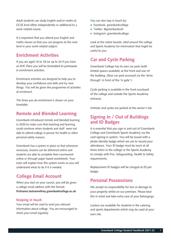Adult students can study English and/or maths at GCSE level either independently or additional to a work-related course.

It is important that you attend your English and maths classes so that you can progress to the next level in your work-related subject.

## **Enrichment Activities**

If you are aged 16 to 18 (or up to 24 if you have an EHC Plan) you will be timetabled to participate in enrichment activities.

Enrichment activities are designed to help you to develop your confidence and skills and try new things. You will be given the programme of activities at enrolment.

The times you do enrichment is shown on your timetable.

## **Remote and Blended Learning**

Greenbank introduced remote and blended learning in 2020 to make sure that teaching and learning could continue when students and staff were not able to attend college in person for health or other personal safety reasons.

Greenbank has a system in place so that whenever necessary, lessons can be delivered online and students are able to complete their coursework online or through paper based worksheets. Your tutor will explain how this system works so you will understand what to do if it is needed.

## **College Email Account**

When you start on your course, you will be given a college email address with the format: **firstname.lastname@my.greenbankcollege.ac.uk**

#### **Keeping in touch**

Your email will be used to send you relevant information about college. You are encouraged to check your email regularly.

You can also stay in touch by:

- **•** Facebook: greenbankcollege
- **Twitter: @greenbankcoll**
- **Instagram: greenbankcollege**

Look at the notice boards, sited around the college and Sports Academy for information that might be useful to you.

## **Car and Cycle Parking**

Greenbank College has its own car park (with limited spaces available) at the front and rear of the building. (Rear car park accessed via the 'drive through' in front of the 'in gate'.)

Cycle parking is available in the front courtyard of the college and outside the Sports Academy entrance.

Vehicles and cycles are parked at the owner's risk.

## **Signing In / Out of Buildings and ID Badges**

It is essential that you sign in and out of Greenbank College and Greenbank Sports Academy via the card signing in system. You will be issued with a photo identity badge which we use to record your attendance. Your ID badge must be worn at all times when in the college or the Sports Academy to comply with Fire, Safeguarding, Health & Safety requirements.

Replacement ID badges will be charged at £5 per badge.

## **Personal Possessions**

We accept no responsibility for loss or damage to your property whilst on our premises. Please bear this in mind and take extra care of your belongings.

Lockers are available for students in the catering and sports departments which may be used at your own risk.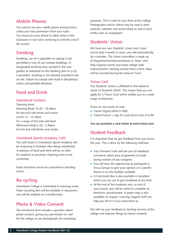## **Mobile Phones**

You cannot use your mobile phone during lessons unless you have permission from your tutor. You must turn your phone to silent when in the classroom or risk tutors removing it until the end of the session.

## **Smoking**

Smoking, use of e-cigarettes or vaping is not permitted in any of our campus buildings. A designated smoking area, located in the rear garden as indicated on the building plan on p.22, is provided. Smoking is not allowed anywhere else on site. Failure to comply will result in disciplinary action and possible dismissal.

## **Food and Drink**

#### **Subsidised Canteen**

Opening times: Morning Break 10.20 - 10.40am for hot and cold drinks and snacks Lunch 12 - 12.30pm for a range of hot and cold food Afternoon Break 2.20 - 2.40pm for hot and cold drinks and snacks

#### **Greenbank Sports Academy Café**

The café based in Greenbank Sports Academy will be reopening in October after being refurbished. A selection of food and drink will be on offer for students to purchase. Opening times to be confirmed.

Food and drink cannot be consumed in teaching rooms.

### **Re-cycling**

Greenbank College is committed to reducing waste. Paper recycling bins will be available in classrooms and will be emptied on a weekly basis.

## **Photo & Video Consent**

The enrolment form includes a question about photo consent, giving your permission (or not) for the college to use photographs for marketing purposes. This is valid for your time at the college. Photographs and/or videos may be used in print material, websites and social media as well as local media such as newspapers.

## **Students' Union**

We have our own Students' Union and if your course lasts 4 weeks or more, you will automatically be a member. The Union committee is made up of Departmental Representatives or 'Reps' who help organise events and make college wide improvements; meeting several times a term. Reps will be recruited during the Autumn Term.

#### **Totum Card**

Our Students' Union is affiliated to the National Union of Students (NUS). This means that you can apply for a Totum Card which entitles you to a wide range of discounts.

There are two levels of card:

- **Totum Digital which is FREE**
- Totum/Totum + Age ID Card which costs £14.99

**You can purchase a card online at www.totum.com.**

## **Student Feedback**

It is important that we get feedback from you across the year. This is done by the following methods:

- Your Personal Tutor will ask you for feedback comments about your programme of study during reviews of your progress.
- You will have the opportunity to participate in Focus Groups to give your opinion on a specific theme or on the facilities available.
- A Comments Box is also available in reception which you can use to give feedback at any time
- At the end of the academic year, or end of your course, you will be asked to complete an electronic questionnaire. A paper copy is also available on request. Learning Support staff can help you fill it in if you need them to.

We will use your feedback to develop services at the college and improve things for future students.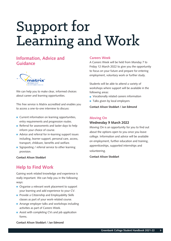## Support for Learning and Work

## **Information, Advice and Guidance**



We can help you to make clear, informed choices about career and learning opportunities.

This free service is Matrix accredited and enables you to access a one-to-one interview to discuss:

- **Current information on learning opportunities,** entry requirements and progression routes.
- Referral for assessments and taster days to help inform your choice of course.
- Advice and referral for in-learning support issues including, learner support, personal care, access, transport, childcare, benefits and welfare.
- Signposting / referral service to other learning provision.

#### **Contact Alison Stoddart**

## **Help to Find Work**

Gaining work related knowledge and experience is really important. We can help you in the following ways:

- Organise a relevant work placement to support your learning and add experience to your CV.
- **•** Provide a Citizenship and Employability Skills classes as part of your work-related course.
- **•** Arrange employer talks and workshops including activities as part of Careers Week.
- Assist with completing CVs and job application forms.

#### **Careers Week**

A Careers Week will be held from Monday 7 to Friday 12 March 2022 to give you the opportunity to focus on your future and prepare for entering employment, voluntary work or further study.

Students will be able to attend a variety of workshops where support will be available in the following areas:

- Vocationally related careers information
- Talks given by local employers

**Contact Alison Stoddart / Jan Edmond**

#### **Moving On**

#### **Wednesday 9 March 2022**

Moving On is an opportunity for you to find out about the options open to you once you leave college. Information and advice will be available on employment, further education and training, apprenticeships, supported internships and volunteering.

#### **Contact Alison Stoddart**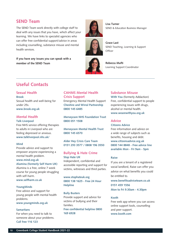### **SEND Team**

The SEND Team work directly with college staff to deal with any issues that you have, which affect your learning. We have links to specialist agencies who can offer free confidential support/advice in areas including counselling, substance misuse and mental health services.

**If you have any issues you can speak with a member of the SEND Team**



**Lisa Turner** SEND & Education Business Manager



**Grace Last**  SEND Teaching, Learning & Support **Officer** 



**Rebecca Mufti**  Learning Support Coordinator

## **Useful Contacts**

#### **Sexual Health**

**Brook** Sexual health and well-being for under 25s. **www.brook.org.uk**

#### **Mental Health**

**Talk Liverpool**

Free NHS service offering therapies to adults in Liverpool who are feeling depressed or anxious. **www.talkliverpool.nhs.uk/**

#### **Mind**

Provide advice and support to empower anyone experiencing a mental health problem.

#### **www.mind.org.uk**

**Alumina (formerly Self Harm UK)** Alumina is a free, online 7 week course for young people struggling with self-harm.

**www.selfharm.co.uk**

#### **YoungMinds**

Free advice and support for young people with mental health problems.

#### **www.youngminds.org.uk**

#### **Samaritans**

For when you need to talk to someone about your problems. **Call free 116 123**

#### **CAHMS Mental Health Crisis Support**

Emergency Mental Health Support **Cheshire and Wirral Partnership 0800 145 6485**

**Merseycare NHS Foundation Trust 0800 051 1508**

**Merseycare Mental Health Trust 0800 145 6570**

**Alder Hey Crisis Care Team 0151 293 3577 / 0808 196 3550**

#### **Bullying & Hate Crime Stop Hate UK**

Independent, confidential and accessible reporting and support for victims, witnesses and third parties.

**www.stophateuk.org 0800 138 1625 - Free 24 Hour Helpline**

#### **Bully Busters**

Provide support and advice for victims of bullying and their families. **Free confidential helpline 0800 169 6928**

#### **Substance Misuse**

**With You** (formerly Addaction) Free, confidential support to people experiencing issues with drugs, alcohol or mental health. **www.wearewithyou.org.uk** 

#### **Advice**

**Citizens Advice**

Free information and advice on a wide range of subjects such as benefits, housing and debt. **www.citizensadvice.org.uk 0800 144 8848 - Free advice line available Mon - Fri 9am - 5pm**

#### **Raise**

If you are a tenant of a registered social landlord, Raise can offer you advice on what benefits you could be entitled to.

**www.benefitsadviceteam.co.uk 0151 459 1556** 

**Mon to Fri 9.30am - 4.30pm**

#### **Kooth**

Free web app where you can access online support tools, counselling and peer support. **www.kooth.com**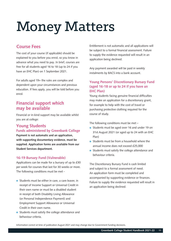## Money Matters

## **Course Fees**

The cost of your course (if applicable) should be explained to you before you enrol, so you know in advance what you need to pay. In brief, courses are free for all students aged 16 to 18 (up to 24 if you have an EHC Plan) on 1 September 2021.

For adults aged 19+ the rules are complex and dependent upon your circumstances and previous education. If fees apply, you will be told before you enrol.

## **Financial support which may be available**

Financial or in-kind support may be available whilst you are at college:

#### **Young Students Funds administered by Greenbank College**

**Payment is not automatic and an application, with supporting documentary evidence, must be supplied. Application forms are available from our Student Services department.**

#### **16-19 Bursary Fund (Vulnerable)**

Applications can be made for a bursary of up to £30 per week for courses that last for 30 weeks or more. The following conditions must be met -

- Students must be either in care, a care leaver, in receipt of Income Support or Universal Credit in their own name or must be a disabled student in receipt of both Disability Living Allowance (or Personal Independence Payment) and Employment Support Allowance or Universal Credit in their own name.
- Students must satisfy the college attendance and behaviour criteria.

Entitlement is not automatic and all applications will be subject to a formal financial assessment. Failure to supply the evidence requested will result in an application being declined.

Any payment awarded will be paid in weekly instalments by BACS into a bank account.

#### **Young Persons' Discretionary Bursary Fund (aged 16-18 or up to 24 if you have an EHC Plan)**

Young students facing genuine financial difficulties may make an application for a discretionary grant, for example to help with the cost of travel or purchasing protective clothing required for the course of study.

The following conditions must be met –

- Students must be aged over 16 and under 19 on 31st August 2021 (or aged up to 24 with an EHC Plan)
- Students must be from a household where the annual income does not exceed £25,000
- Students must satisfy the college attendance and behaviour criteria.

The Discretionary Bursary Fund is cash limited and subject to a formal assessment of need. An application form must be completed and accompanied by supporting evidence or finances. Failure to supply the evidence requested will result in an application being declined.

Information correct at time of publication August 2021 and may change due to Government funding decisions.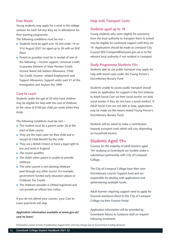#### **Free Meals**

Young students may apply for a meal in the college canteen for each full day they are in attendance for their learning programme.

The following conditions must be met –

- Students must be aged over 16 and under 19 on 31st August 2021 (or aged up to 24 with an EHC Plan)
- Parent or guardian must be in receipt of one of the following – Income support; Universal Credit; Guarantee Element of State Pension Credit; Income Based Job Seekers Allowance; Child Tax Credit; Income- related Employment and Support Allowance; Support under part V1 of the Immigration and Asylum Act 1999.

#### **Care to Learn**

Students under the age of 20 who have children may be eligible for help with the cost of childcare to the value of £160 per child per week whilst they study.

The following conditions must be met –

- The student must be a parent under 20 at the start of their course
- They are the main carer for their child and in receipt of Child Benefit for the child
- They are a British Citizen or have a legal right to live and work in England
- The course qualifies
- The child's other parent is unable to provide childcare
- The other parent is not claiming childcare paid through any other source, for example, government funded early education places or Childcare Tax Credits
- The childcare provider is Ofsted registered and can provide an official fees notice

If you do not attend your courses, your Care to Learn payments will stop.

#### **Application information available at www.gov.uk/ care-to-learn/**

#### **Help with Transport Costs**

#### **Students aged up to 19**

Young students who were eligible for assistance from the local authority to transport them to school may be eligible for continued support until they are 19. Applications should be made to Liverpool City Council SEN.Transport@liverpool.gov.uk or to the relevant local authority if not resident in Liverpool.

#### **Study Programme Students 19+**

Students able to use public transport may apply for help with travel costs under the Young Person's Discretionary Bursary Fund.

Students unable to access public transport should make an application for support in the first instance to Adult Social Care via their social worker (or duty social worker if they do not have a social worker). If Adult Social Care are not able to help, applications may be made via the means tested Young Person's Discretionary Bursary Fund.

Students will be asked to make a contribution towards transport costs which will vary depending on household income

#### **Students Aged 19+**

Courses for the majority of adult learners aged 19+ studying at Greenbank are funded under a subcontract partnership with City of Liverpool College.

The City of Liverpool College have their own Discretionary Learner Support fund and are responsible for dealing with applications and administering available funds.

Adult learners requiring support need to apply for financial assistance direct to the City of Liverpool College via their Finance Portal.

Application information will be provided by Greenbank Advice & Guidance staff on request following enrolment.

Information correct at time of publication August 2021 and may change due to Government funding decisions.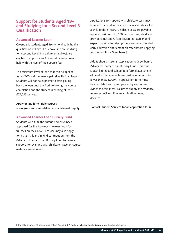### **Support for Students Aged 19+ and Studying for a Second Level 3 Qualification**

#### **Advanced Learner Loan**

Greenbank students aged 19+ who already hold a qualification at Level 3 or above and are studying for a second Level 3 in a different subject, are eligible to apply for an Advanced Learner Loan to help with the cost of their course fees.

The minimum level of loan that can be applied for is £300 and the loan is paid directly to college. Students will not be expected to start paying back the loan until the April following the course completion and the student is earning at least £27,295 per year.

**Apply online for eligible courses: www.gov.uk/advanced-learner-loan/how-to-apply**

#### **Advanced Learner Loan Bursary Fund**

Students who fulfil the criteria and have been approved for the Advanced Learner Loan for full fees on their Level 3 course may also apply for a grant / loan /in kind contribution from the Advanced Learner Loan Bursary Fund to provide support, for example with childcare, travel or course materials /equipment.

Applications for support with childcare costs may be made if a student has parental responsibility for a child under 5 years. Childcare costs are payable up to a maximum of £160 per week and childcare providers must be Ofsted registered. (Greenbank expects parents to take up the government funded early education entitlement on offer before applying for funding from Greenbank.)

Adults should make an application to Greenbank's Advanced Learner Loan Bursary Fund. This fund is cash limited and subject to a formal assessment of need. (Total annual household income must be lower than £25,000) An application form must be completed and accompanied by supporting evidence of finances. Failure to supply the evidence requested will result in an application being declined.

**Contact Student Services for an application form**

Information correct at time of publication August 2021 and may change due to Government funding decisions.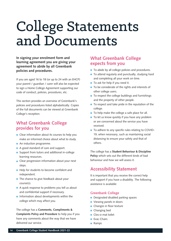## College Statements and Documents

**In signing your enrolment form and learning agreement you are giving your agreement to abide by all Greenbank policies and procedures.**

If you are aged 16 to 18 (or up to 24 with an EHCP) your parent / guardian / carer will also be expected to sign a Home College Agreement supporting our code of conduct, policies, procedures, etc.

This section provides an overview of Greenbank's policies and procedures listed alphabetically. Copies of the full documents can be viewed at Greenbank College's reception.

## **What Greenbank College provides for you**

- Clear information about its courses to help you make an informed choice about what to study.
- An induction programme.
- A good standard of care and support.
- Support from tutors and additional in-college learning resources.
- Clear progression information about your next steps.
- Help for students to become confident and independent.
- The chance to give feedback about your course(s).
- A quick response to problems you tell us about and confidential support if necessary.
- $\bullet$  Information about developments within the college which may affect you.

The college has a **Comments, Compliments & Complaints Policy and Procedure** to help you if you have any comments about the way that we have delivered our service.

## **What Greenbank College expects from you**

- To abide by all college policies and procedures.
- To attend regularly and punctually, studying hard and completing all your work on time.
- To ask for help if you need it.
- To be considerate of the rights and interests of other college users.
- To respect the college buildings and furnishings and the property of other people.
- To respect and take pride in the reputation of the college.
- To help make the college a safe place for all.
- $\bullet$  To let us know quickly if you have any problem or are concerned about the service you have received.
- To adhere to any specific rules relating to COVID-19, when necessary, such as maintaining social distancing to ensure your safety and that of others.

The college has a **Student Behaviour & Discipline Policy** which sets out the different kinds of bad behaviour and how we will assess it.

## **Accessibility Statement**

It is important that you receive the correct help and support if you have a disability. The following assistance is available:

#### **Greenbank College**

- **Designated disabled parking spaces**
- Viewing panels in doors
- **Changes in floor texture**
- **Changing bed**
- Clos-o-mat toilet
- **Evac Chairs**
- Ramps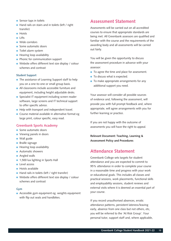- Sensor taps in toilets
- Hand rails on stairs and in toilets (left / right transfer)
- **•** Hoists
- **C** Lifts
- Wide corridors
- Some automatic doors
- **•** Toilet alarm system
- **•** Hearing loop availability
- Phonic for communication support
- Website offers different text size display / colour schemes and contrast

#### **Student Support**

- The assistance of Learning Support staff to help you on a one-to-one or small group basis.
- All classrooms include accessible furniture and equipment, including height adjustable desks.
- **•** Specialist IT equipment including screen reader software, large screens and IT technical support to offer specific advice.
- Help with transport and independent travel.
- **Course material available in alternative format eg** large print, colour specific, easy read.

#### **Greenbank Sports Academy**

- Some automatic doors
- Viewing panels in doors
- **Wall** guide
- **Braille signage**
- **•** Hearing loop availability
- **Automatic showers**
- **Angled walls**
- 1,500 lux lighting in Sports Hall
- **Level** access
- **Hoists available**
- Hand rails in toilets (left / right transfer)
- Website offers different text size display / colour schemes and contrast

#### **Gym**

● Accessible gym equipment eg. weights equipment with flip out seats and handbikes.

## **Assessment Statement**

Assessments will be carried out on all accredited courses to ensure that appropriate standards are being met. All Greenbank assessors are qualified and familiar with the course and the requirements of the awarding body and all assessments will be carried out fairly.

You will be given the opportunity to discuss the assessment procedure in advance with your assessor:

- To agree the time and place for assessment.
- $\bullet$  To discuss what is expected.
- To make appropriate arrangements for any additional support you need.

Your assessor will consider all possible sources of evidence and, following the assessment, will provide you with full prompt feedback and, where appropriate, will agree arrangements with you for further learning or practice.

If you are not happy with the outcome of assessments you will have the right to appeal.

**Relevant Document: Teaching, Learning & Assessment Policy and Procedures**

### **Attendance Statement**

Greenbank College sets targets for student attendance and you are expected to commit to 95% attendance in order to complete your course in a reasonable time and progress with your work or educational goals. This includes all classes and practical sessions, work placements, functional skills and employability sessions, student reviews and external visits where it is deemed an essential part of your course.

If you record unauthorised absences, erratic attendance patterns, persistent lateness/leaving early, absence from one class but not others, etc, you will be referred to the 'At Risk Group'. Your personal tutor, support staff and, where applicable,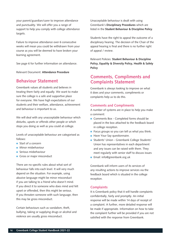your parent/guardian/carer to improve attendance and punctuality. We will offer you a range of support to help you comply with college attendance targets.

Failure to improve attendance over 6 consecutive weeks will mean you could be withdrawn from your course as you will be deemed to have broken your learning agreement.

See page 6 for further information on attendance.

Relevant Document: **Attendance Procedure**

### **Behaviour Statement**

Greenbank values all students and believes in treating them fairly and equally. We want to make sure the college is a safe and supportive place for everyone. We have high expectations of our students and their welfare, attendance, achievement and behaviour is important to us.

We will deal with any unacceptable behaviour which disturbs, upsets or offends other people or which stops you doing as well as you could at college.

Levels of unacceptable behaviour are categorised as follows:

- Start of a concern
- **Minor misbehaviour**
- **Serious misbehaviour**
- Gross or major misconduct

There are no specific rules about what sort of behaviour falls into each level. It will very much depend on the situation. For example, using abusive language might be minor misconduct if you are talking to a friend who doesn't mind. If you direct it to someone who does mind and felt upset or offended, then this might be serious. If you threaten someone with such language, then this may be gross misconduct.

Certain behaviours such as vandalism, theft, bullying, taking or supplying drugs or alcohol and violence are usually gross misconduct.

Unacceptable behaviour is dealt with using Greenbank's **Disciplinary Procedures** which are listed in the **Student Behaviour & Discipline Policy**.

Students have the right to appeal the outcome of a disciplinary hearing. The decision of the Chair of the appeal hearing is final and there is no further right of appeal / review.

Relevant Policies: **Student Behaviour & Discipline Policy, Equality & Diversity Policy, Health & Safety Policy**

## **Comments, Compliments and Complaints Statement**

Greenbank is always looking to improve on what it does and your comments, compliments or complaints help us to do this.

#### **Comments and Compliments**

A number of systems are in place to help you make a comment:

- **Comments Box Completed forms should be** placed in the box attached to the feedback board in college reception.
- **•** Focus groups so you can tell us what you think.
- **Have Your Say questionnaire.**
- **Students' Union Greenbank College Students'** Union has representatives in each department and any issues can be raised with them. They meet regularly with senior staff to discuss issues
- **Email: info@greenbank.org.uk**

Greenbank will inform users of its services of any resulting actions to improve services via the feedback board which is situated in the college reception.

#### **Complaints**

It is Greenbank policy that it will handle complaints confidentially, fairly and promptly. An initial response will be made within 14 days of receipt of a complaint. A further, more detailed response will be made if appropriate. Information on how to take the complaint further will be provided if you are not satisfied with the response from Greenbank.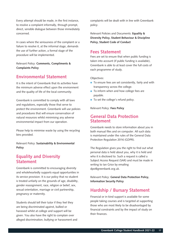Every attempt should be made, in the first instance, to resolve a complaint informally, through prompt, direct, sensible dialogue between those immediately concerned.

In cases where the seriousness of the complaint or a failure to resolve it, at the informal stage, demands the use of further action, a formal stage of the procedure will be implemented.

Relevant Policy: **Comments, Compliments & Complaints Policy**

### **Environmental Statement**

It is the intent of Greenbank that its activities have the minimum adverse effect upon the environment and the quality of life of the local community.

Greenbank is committed to comply with all laws and regulations, especially those that serve to protect the environment. Greenbank will use policies and procedures that will ensure conservation of natural resources whilst minimising any adverse environmental impact from our operation.

Please help to minimise waste by using the recycling bins provided.

Relevant Policy: **Sustainability & Environmental Policy**

## **Equality and Diversity Statement**

Greenbank is committed to encouraging diversity and wholeheartedly supports equal opportunities in its service provision. It is our policy that no student is treated unfairly on the grounds of age, disability, gender reassignment, race, religion or belief, sex, sexual orientation, marriage or civil partnership, pregnancy or maternity.

Students should tell their tutor if they feel they are being discriminated against, bullied or harassed whilst at college and support will be given. You also have the right to complain over alleged discrimination, bullying or harassment and complaints will be dealt with in line with Greenbank policy.

Relevant Policies and Documents: **Equality & Diversity Policy, Student Behaviour & Discipline Policy, Student Code of Conduct**

### **Fees Statement**

Fees are set to ensure that when public funding is taken into account (if public funding is available), Greenbank is able to at least cover the full costs of each programme of study.

Objectives:

- **•** To ensure fees are set consistently, fairly and with transparency across the college.
- **•** To inform when and how college fees are payable.
- To set the college's refund policy.

Relevant Policy: **Fees Policy**

### **General Data Protection Statement**

Greenbank needs to store information about you in both manual files and on computer. All such data is maintained under the rules of the General Data Protection Regulation 2016 (GDPR).

The Regulation gives you the right to find out what personal data is held about you, why it is held and who it is disclosed to. Such a request is called a Subject Access Request (SAR) and must be made in writing to Ian Grice by emailing dpo@greenbank.org.uk.

Relevant Policy: **General Data Protection Policy, Information Security Policy**

## **Hardship / Bursary Statement**

Financial or in-kind support is available for some people taking courses and is targeted at supporting those who are most likely to be disadvantaged by financial constraints and by the impact of study on their finances.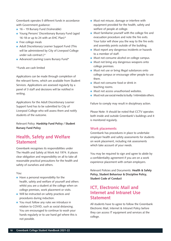Greenbank operates 5 different funds in accordance with Government guidance:

- 16 19 Bursary Fund (Vulnerable)
- Young Persons' Discretionary Bursary Fund (aged 16-18 or up to 24 with an EHC Plan)\*
- **Free college meals**
- Adult Discretionary Learner Support Fund (This will be administered by City of Liverpool College under sub contract.)\*
- Advanced Learning Loans Bursary Fund\*

#### \*Funds are cash limited

Applications can be made through completion of the relevant forms, which are available from Student Services. Applications are assessed regularly by a panel of 3 staff and decisions will be notified in writing.

Applications for the Adult Discretionary Learner Support fund has to be submitted to City of Liverpool College who will assess them and notify students of the outcome.

Relevant Policy: **Hardship Fund Policy / Student Bursary Fund Policy**

## **Health, Safety and Welfare Statement**

Greenbank recognises its responsibilities under The Health and Safety at Work Act 1974. It places clear obligation and responsibility on all to take all reasonable practical precautions for the health and safety of ourselves and others.

#### You:

- Have a personal responsibility for the health, safety and welfare of yourself and others whilst you are a student at the college when on college premises, work placement or visits.
- Will be instructed on safety practices and procedures during induction.
- You must follow any rules we introduce in relation to COVID, such as social distancing. You are encouraged to continue to wash your hands regularly or to use hand gel where this is not possible.
- **Must not misuse, damage or interfere with** equipment provided for the health, safety and welfare of people at college.
- Must familiarise yourself with the college fire and evacuation procedure and note the fire exits. Your tutor will show you the way to the fire exits and assembly points outside of the building.
- Must report any dangerous incidents or hazards to a member of staff.
- Must not consume alcohol on college campus.
- Must not bring any dangerous weapons onto college premises.
- **Must not use or bring illegal substances onto** college campus or encourage other people to use them.
- Must not consume food or drink in teaching rooms.
- Must not access unauthorised websites.
- **Must not use social media to bully / intimidate others.**

Failure to comply may result in disciplinary action.

Please Note: It should be noted that CCTV operates both inside and outside Greenbank's buildings and it is monitored regularly.

#### **Work placements**

Greenbank has procedures in place to undertake employer health and safety assessments for students on work placement, including risk assessments which take account of your needs.

You may be required to sign and agree to abide by a confidentiality agreement if you are on a work experience placement with certain employers.

Relevant Policies and Documents: **Health & Safety Policy, Student Behaviour & Discipline Policy, Student Code of Conduct**

## **ICT, Electronic Mail and Internet and Intranet Use Statement**

All students have to agree to follow the Greenbank Electronic Mail, Internet & Intranet Policy before they can access IT equipment and services at the college.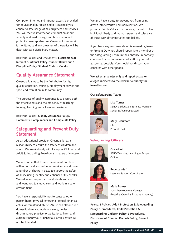Computer, internet and intranet access is provided for educational purposes and it is essential you adhere to safe usage of all equipment and services. You will receive information at induction about security and lawful usage and how Greenbank prohibits unacceptable use. Greenbank's network is monitored and any breaches of the policy will be dealt with as a disciplinary matter.

Relevant Policies and Documents: **Electronic Mail, Internet & Intranet Policy, Student Behaviour & Discipline Policy, Student Code of Conduct**

## **Quality Assurance Statement**

Greenbank aims to be the first choice for high quality education, training, employment service and sport and recreation in its community.

The purpose of quality assurance is to ensure both the effectiveness and the efficiency of teaching, training, learning and all service provision.

Relevant Policies: **Quality Assurance Policy, Comments, Compliments and Complaints Policy**

## **Safeguarding and Prevent Duty Statement**

As an educational provider, Greenbank has a responsibility to ensure the safety of children and adults. We work closely with Liverpool Children and Adult Safeguarding Board on all matters of concern.

We are committed to safe recruitment practices within our paid and volunteer workforce and have a number of checks in place to support the safety of all including identity and enhanced DBS checks. We value and respect all our students and staff and want you to study, learn and work in a safe environment.

You have a responsibility not to cause another person harm, physical, emotional, sexual, financial, actual or threatened abuse. Abuse can also include domestic violence, modern slavery, neglect, discriminatory practice, organisational harm and extremist behaviours. Behaviour of this nature will not be tolerated.

We also have a duty to prevent you from being drawn into terrorism and radicalisation. We promote British Values – democracy, the rule of law, individual liberty and mutual respect and tolerance of those with different faiths and beliefs.

If you have any concerns about Safeguarding issues or Prevent Duty you should report it to a member of the Safeguarding Team. In their absence, report any concerns to a senior member of staff or your tutor as soon as possible. You should not discuss your concerns with other people.

**We act as an alerter only and report actual or alleged incidents to the relevant authority for investigation.** 

#### **Our safeguarding Team:**



**Lisa Turner** SEND & Education Business Manager Senior Safeguarding Lead



**Mary Beaumont**  CEO Prevent Lead

#### **Safeguarding Officers**



**Grace Last**  SEND Teaching, Learning & Support **Officer** 



**Rebecca Mufti**  Learning Support Coordinator



**Mark Palmer**  Sport Development Manager (based at Greenbank Sports Academy)

Relevant Policies: **Adult Protection & Safeguarding Policy & Procedures, Child Protection & Safeguarding Children Policy & Procedures, Disclosure of Criminal Records Policy, Prevent Policy**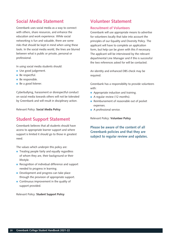## **Social Media Statement**

Greenbank uses social media as a way to connect with others, share resources, and enhance the education and work experience. While social networking is fun and valuable, there are some risks that should be kept in mind when using these tools. In the social media world, the lines are blurred between what is public or private, personal or professional.

In using social media students should:

- Use good judgement.
- Be respectful.
- **Be responsible.**
- Be a good listener.

Cyberbullying, harassment or disrespectful conduct on social media towards others will not be tolerated by Greenbank and will result in disciplinary action.

Relevant Policy: **Social Media Policy**

### **Student Support Statement**

Greenbank believes that all students should have access to appropriate learner support and where support is limited it should go to those in greatest need.

The values which underpin this policy are:

- **•** Treating people fairly and equally regardless of whom they are, their background or their lifestyle.
- Recognition of individual difference and support needed to progress in learning.
- **•** Development and progress can take place through the provision of appropriate support.
- **Continuous improvement in the quality of** support provided.

#### Relevant Policy: **Student Support Policy**

## **Volunteer Statement**

#### **Recruitment of Volunteers**

Greenbank will use appropriate means to advertise for volunteers locally that take into account the principles of our Equality and Diversity Policy. The applicant will have to complete an application form, but help can be given with this if necessary. The applicant will be interviewed by the relevant departmental Line Manager and if this is successful the two references asked for will be contacted.

An identity and enhanced DBS check may be required.

Greenbank has a responsibility to provide volunteers with:

- Appropriate induction and training.
- A regular review (12 months).
- Reimbursement of reasonable out of pocket expenses.
- A professional service.

Relevant Policy: **Volunteer Policy**

**Please be aware of the content of all Greenbank policies and that they are subject to regular review and updates.**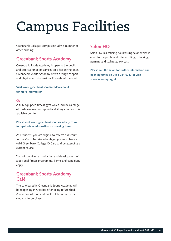## Campus Facilities

Greenbank College's campus includes a number of other buildings:

## **Greenbank Sports Academy**

Greenbank Sports Academy is open to the public and offers a range of services on a fee paying basis. Greenbank Sports Academy offers a range of sport and physical activity sessions throughout the week.

#### **Visit www.greenbanksportsacademy.co.uk for more information**

#### **Gym**

A fully equipped fitness gym which includes a range of cardiovascular and specialised lifting equipment is available on site.

**Please visit www.greenbanksportsacademy.co.uk for up-to-date information on opening times**.

As a student, you are eligible to receive a discount for the Gym. To take advantage, you must have a valid Greenbank College ID Card and be attending a current course.

You will be given an induction and development of a personal fitness programme. Terms and conditions apply.

## **Greenbank Sports Academy Café**

The café based in Greenbank Sports Academy will be reopening in October after being refurbished. A selection of food and drink will be on offer for students to purchase.

## **Salon HQ**

Salon HQ is a training hairdressing salon which is open to the public and offers cutting, colouring, perming and styling at low cost.

**Please call the salon for further information and opening times on 0151 281 0717 or visit www.salonhq.org.uk**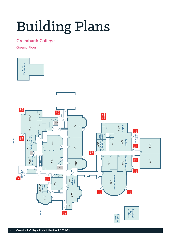## Building Plans

## **Greenbank College**

**Ground Floor**

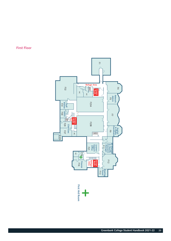

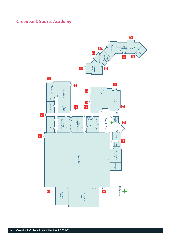## **Greenbank Sports Academy**

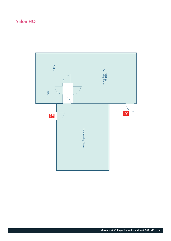## **Salon HQ**

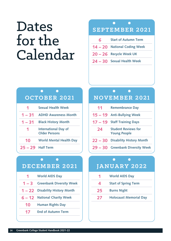## Dates for the Calendar

## $\bullet$  . The set of  $\bullet$  $\bullet$ **SEPTEMBER 2021 6 Start of Autumn Term**

- **14 20 National Coding Week**
- **20 26 Recycle Week UK**
- **24 30 Sexual Health Week**

|                     | OCTOBER 2021                                        |
|---------------------|-----------------------------------------------------|
| 1                   | <b>Sexual Health Week</b>                           |
| $1 - 31$            | <b>ADHD Awareness Month</b>                         |
| $1 - 31$            | <b>Black History Month</b>                          |
| 1                   | <b>International Day of</b><br><b>Older Persons</b> |
| 10                  | <b>World Mental Health Day</b>                      |
| $25 - 29$ Half Term |                                                     |

## **DECEMBER 2021**

 $\bullet$   $\bullet$ 

| 1  | <b>World AIDS Day</b>            |
|----|----------------------------------|
|    | $1 - 3$ Greenbank Diversity Week |
|    | 1 - 22 Disability History Month  |
|    | 6 - 12 National Charity Week     |
| 10 | <b>Human Rights Day</b>          |
| 17 | <b>End of Autumn Term</b>        |

## $\ddot{\bullet}$ **NOVEMBER 2021**

| 11        | <b>Remembrance Day</b>                            |
|-----------|---------------------------------------------------|
|           | 15 - 19 Anti-Bullying Week                        |
|           | 17 - 19 Staff Training Days                       |
|           |                                                   |
| 24        | <b>Student Reviews for</b><br><b>Young People</b> |
| $22 - 30$ | <b>Disability History Month</b>                   |

## **JANUARY 2022**

 $\bullet$ 

 $\bullet$  . The set of  $\bullet$ 

|          | <b>World AIDS Day</b>         |
|----------|-------------------------------|
| $\Delta$ | <b>Start of Spring Term</b>   |
| 25       | <b>Burns Night</b>            |
| 27       | <b>Holocaust Memorial Day</b> |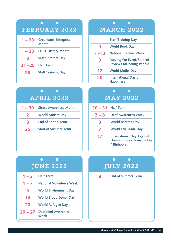|           | <b>FEBRUARY 2022</b>                 |
|-----------|--------------------------------------|
| $1 - 28$  | <b>Greenbank Enterprise</b><br>Month |
| $1 - 28$  | <b>LGBT History Month</b>            |
| 8         | <b>Safer Internet Day</b>            |
| $21 - 25$ | <b>Half Term</b>                     |
| 28        | <b>Staff Training Day</b>            |
|           |                                      |

#### $\bullet$ **Contract Contract Contract APRIL 2022**

| 1 – 30 Stress Awareness Month |
|-------------------------------|
| <b>World Autism Day</b>       |
| <b>End of Spring Term</b>     |
| <b>Start of Summer Term</b>   |
|                               |

## **JUNE 2022**

 $\bullet$   $\bullet$ 

| $1 - 3$   | <b>Half Term</b>                   |
|-----------|------------------------------------|
| $1 - 7$   | <b>National Volunteers Week</b>    |
| 5         | <b>World Environment Day</b>       |
| 14        | <b>World Blood Donor Day</b>       |
| 20        | <b>World Refugee Day</b>           |
| $20 - 27$ | <b>Deafblind Awareness</b><br>Week |

## $\bullet$  . <br> <br> <br> <br> <br> <br> <br> <br> <br><br><br><br><br><br>  $\bullet$ **FEBRUARY 2022 MARCH 2022 1 Staff Training Day 4 World Book Day 7 –12 National Careers Week 9 Moving On Event/Student Reviews for Young People**

**12 World Maths Day**

 $\bullet$ 

**20 International Day of Happiness**

## **MAY 2022**

 $\bullet$ 

| $30 - 31$ Half Term |                                                                            |
|---------------------|----------------------------------------------------------------------------|
| $2 - 8$             | <b>Deaf Awareness Week</b>                                                 |
| 3                   | <b>World Asthma Day</b>                                                    |
|                     | <b>World Fair Trade Day</b>                                                |
| 17                  | <b>International Day Against</b><br>Homophobia / Transphobia<br>/ Biphobia |

## **JULY 2022**

 $\bullet$   $\bullet$ 

**8 End of Summer Term**